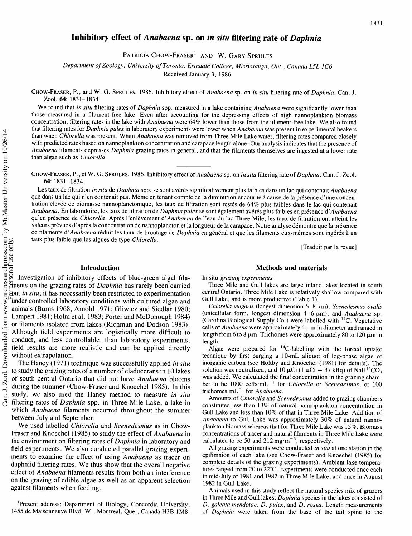# **Inhibitory effect of** *Anabaena* **sp. on** *in situ* **filtering rate of** *Daphnia*

PATRICIA CHOW-FRASER' AND W. GARY SPRULES

Department of Zoology, University of Toronto, Erindale College, Mississauga, Ont., Canada L5L 1C6

Received January 3, 1986

CHOW-FRASER, P., and W. G. SPRULES. 1986. Inhibitory effect of Anabaena sp. on in situ filtering rate of Daphnia. Can. J. Zool. 64: 1831-1834.

We found that in situ filtering rates of Daphnia spp. measured in a lake containing Anabaena were significantly lower than those measured in a filament-free lake. Even after accounting for the depressing effects of high nannoplankton biomass concentration, filtering rates in the lake with Anabaena were 64% lower than those from the filament-free lake. We also found that filtering rates for Daphnia pulex in laboratory experiments were lower when Anabaena was present in experimental beakers than when Chlorella was present. When Anabaena was removed from Three Mile Lake water, filtering rates compared closely with predicted rates based on nannoplankton concentration and carapace length alone. Our analysis indicates that the presence of Anabaena filaments depresses Daphnia grazing rates in general, and that the filaments themselves are ingested at a lower rate han algae such as *Chlorella*.

CHOW-FRASER, P., et W. G. SPRULES. 1986. Inhibitory effect of Anabaena sp. on in situ filtering rate of Daphnia. Can. J. Zool. 64: 1831-1834.

Les taux de filtration in situ de Daphnia spp. se sont avérés significativement plus faibles dans un lac qui contenait Anabaena que dans un lac qui n'en contenait pas. Meme en tenant compte de la diminution encourue a cause de la presence d'une concentration élevée de biomasse nannoplanctonique, les taux de filtration sont restés de 64% plus faibles dans le lac qui contenait Anabaena. En laboratoire, les taux de filtration de Daphnia pulex se sont également avérés plus faibles en présence d'Anabaena qu'en présence de Chlorella. Après l'enlèvement d'Anabaena de l'eau du lac Three Mile, les taux de filtration ont atteint les valeurs prévues d'après la concentration de nannoplancton et la longueur de la carapace. Notre analyse démontre que la présence de filaments d'Anabaena réduit les taux de broutage de Daphnia en général et que les filaments eux-mêmes sont ingérés à un aux plus faible que les algues de type Chlorella.

[Traduit par la revue]

# **Introduction** Methods and materials

nvestigation of inhibitory effects of blue-green algal filaments on the grazing rates of *Daphnia* has rarely been carried out *in situ;* it has necessarily been restricted to experimentation under controlled laboratory conditions with cultured algae and animals (Burns 1968; Arnold 1971; Gliwicz and Siedlar 1980; Lampert 1981; Holm et al. 1983; Porter and McDonough 1984) or filaments isolated from lakes (Richman and Dodson 1983). Although field experiments are logistically more difficult to conduct, and less controllable, than laboratory experiments, field results are more realistic and can be applied directly without extrapolation.

The Haney (1971) technique was successfully applied *in situ* o study the grazing rates of a number of cladocerans in 10 lakes of south central Ontario that did not have *Anabaena* blooms during the summer (Chow-Fraser and Knoechel 1985). In this tudy, we also used the Haney method to measure *in situ* filtering rates of *Daphnia* spp. in Three Mile Lake, a lake in which *Anabaena* filaments occurred throughout the summer between July and September.

We used labelled *Chlorella* and *Scenedesmus* as in Chow-Fraser and Knoechel (1985) to study the effect of *Anabaena* in the environment on filtering rates of *Daphnia* in laboratory and field experiments. We also conducted parallel grazing experiments to examine the effect of using *Anabaena* as tracer on daphniid filtering rates. We thus show that the overall negative effect of *Anabaena* filaments results from both an interference on the grazing of edible algae as well as an apparent selection against filaments when feeding.

In situ grazing experiments

Three Mile and Gull lakes are large inland lakes located in south central Ontario. Three Mile Lake is relatively shallow compared with Gull Lake, and is more productive (Table 1).

Chlorella vulgaris (longest dimension  $6-8 \mu m$ ), Scenedesmus ovalis (unicellular form, longest dimension  $4-6 \mu m$ ), and Anabaena sp. (Carolina Biological Supply Co.) were labelled with  ${}^{14}C$ . Vegetative cells of Anabaena were approximately  $4 \mu m$  in diameter and ranged in length from 6 to 8  $\mu$ m. Trichomes were approximately 80 to 120  $\mu$ m in length.

Algae were prepared for  $^{14}$ C-labelling with the forced uptake technique by first purging a 10-mL aliquot of log-phase algae of inorganic carbon (see Holtby and Knoechel (1981) for details). The solution was neutralized, and  $10 \mu Ci$  (1  $\mu Ci = 37$  kBq) of NaH<sup>14</sup>CO<sub>3</sub> was added. We calculated the final concentration in the grazing chamber to be 1000 cells $\cdot$ mL<sup>-1</sup> for *Chlorella* or *Scenedesmus*, or 100 trichomes $\cdot$ mL<sup>-1</sup> for Anabaena.

Amounts of Chlorella and Scenedesmus added to grazing chambers constituted less than 13% of natural nannoplankton concentration in Gull Lake and less than 10% of that in Three Mile Lake. Addition of Anabaena to Gull Lake was approximately 30% of natural nannoplankton biomass whereas that for Three Mile Lake was 15%. Biomass concentrations of tracer and natural filaments in Three Mile Lake were calculated to be 50 and 212 mg $\cdot$ m<sup>-3</sup>, respectively.

All grazing experiments were conducted in situ at one station in the epilimnion of each lake (see Chow-Fraser and Knoechel (1985) for complete details of the grazing experiments). Ambient lake temperatures ranged from 20 to 22°C. Experiments were conducted once each in mid-July of 1981 and 1982 in Three Mile Lake, and once in August 1982 in Gull Lake.

Animals used in this study reflect the natural species mix of grazers in Three Mile and Gull lakes; Daphnia species in the lakes consisted of D. galeata mendotae, D. pulex, and D. rosea. Length measurements of Daphnia were taken from the base of the tail spine to the

<sup>&#</sup>x27;present address: Department of Biology, Concordia University, 1455 de Maisonneuve Blvd. W., Montreal, Que., Canada H3B 1 M8.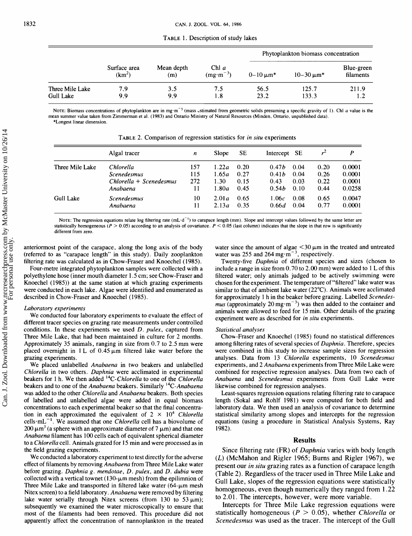TABLE 1. Description of study lakes

|                              | Surface area<br>$(km^2)$ | Mean depth<br>(m) | Chl $a$<br>$(mg·m-3)$ | Phytoplankton biomass concentration |                     |                         |  |
|------------------------------|--------------------------|-------------------|-----------------------|-------------------------------------|---------------------|-------------------------|--|
|                              |                          |                   |                       | $0 - 10 \mu m^*$                    | $10 - 30 \,\mu m^*$ | Blue-green<br>filaments |  |
| Three Mile Lake<br>Gull Lake | 7.9<br>9.9               | 3.5<br>9.9        | 7.5<br>1.8            | 56.5<br>23.2                        | 125.7<br>133.3      | 211.9<br>1.2            |  |

NOTE: Biomass concentrations of phytoplankton are in mg·m<sup>-3</sup> (mass estimated from geometric solids presuming a specific gravity of 1). Chl *a* value is the **mean summer value taken from Zimmerman et al. (1983) and Ontario Ministry of Natural Resources (Minden, Ontario, unpublished data). \*Longest linear dimension.** 

|                  | Algal tracer            | n   | Slope | <b>SE</b> | Intercept SE      |      | $r^2$ | P      |
|------------------|-------------------------|-----|-------|-----------|-------------------|------|-------|--------|
| Three Mile Lake  | Chlorella               | 157 | 1.22a | 0.20      | 0.47h             | 0.04 | 0.20  | 0.0001 |
|                  | <b>Scenedesmus</b>      | 115 | 1.65a | 0.27      | 0.41 <sub>b</sub> | 0.04 | 0.26  | 0.0001 |
|                  | Chlorella + Scenedesmus | 272 | 1.30  | 0.15      | 0.43              | 0.03 | 0.22  | 0.0001 |
|                  | Anabaena                |     | 1.80a | 0.45      | 0.54h             | 0.10 | 0.44  | 0.0258 |
| <b>Gull Lake</b> | <b>Scenedesmus</b>      | 10  | 2.01a | 0.65      | 1.06c             | 0.08 | 0.65  | 0.0047 |
|                  | Anabaena                | 11  | 2.13a | 0.35      | 0.66d             | 0.04 | 0.77  | 0.0001 |

 $T_{\rm B}$   $T_{\rm C}$  2. Comparison of regression statistics for in situ experiments

NoTE: The regression equations relate log filtering rate (mL·d<sup>-1</sup>) to carapace length (mm). Slope and intercept values followed by the same letter are statistically homogeneous  $(P > 0.05)$  according to an analysis of covariance.  $P < 0.05$  (last column) indicates that the slope in that row is significantly **different from zero.** 

anteriormost point of the carapace, along the long axis of the body (referred to as "carapace length" in this study). Daily zooplankton filtering rate was calculated as in Chow-Fraser and Knoechel (1985).

Four-metre integrated phytoplankton samples were collected with a polyethylene hose (inner mouth diameter 1.5 cm; see Chow-Fraser and Knoechel (1985)) at the same station at which grazing experiments were conducted in each lake. Algae were identified and enumerated as described in Chow-Fraser and Knoechel (1985).

#### Laboratory experiments

We conducted four laboratory experiments to evaluate the effect of different tracer species on grazing rate measurements under controlled conditions. In these experiments we used D. pulex, captured from Three Mile Lake, that had been maintained in culture for 2 months. Approximately 35 animals, ranging in size from  $0.7$  to  $2.5$  mm were placed overnight in 1 L of  $0.45 \mu m$  filtered lake water before the grazing experiments.

We placed unlabelled Anabaena in two beakers and unlabelled Chlorella in two others. Daphnia were acclimated in experimental beakers for 1 h. We then added <sup>14</sup>C-Chlorella to one of the Chlorella beakers and to one of the Anabaena beakers. Similarly <sup>14</sup>C-Anabaena was added to the other Chlorella and Anabaena beakers. Both species of labelled and unlabelled algae were added in equal biomass concentrations to each experimental beaker so that the final concentration in each approximated the equivalent of  $2 \times 10^4$  Chlorella cells $mL^{-1}$ . We assumed that one Chlorella cell has a biovolume of  $200 \mu m<sup>3</sup>$  (a sphere with an approximate diameter of 7  $\mu$ m) and that one Anabaena filament has 100 cells each of equivalent spherical diameter to a Chlorella cell. Animals grazed for 15 min and were processed as in the field grazing experiments.

We conducted a laboratory experiment to test directly for the adverse effect of filaments by removing Anabaena from Three Mile Lake water before grazing. Daphnia g. mendotae, D. pulex, and D. dubia were collected with a vertical townet (130- $\mu$ m mesh) from the epilimnion of Three Mile Lake and transported in filtered lake water  $(64-\mu m$  mesh Nitex screen) to a field laboratory. Anabaena were removed by filtering lake water serially through Nitex screens (from 130 to 53  $\mu$ m); subsequently we examined the water microscopically to ensure that most of the filaments had been removed. This procedure did not apparently affect the concentration of nannoplankton in the treated water since the amount of algae  $\leq$ 30  $\mu$ m in the treated and untreated water was 255 and 264 mg $\cdot$ m<sup>-3</sup>, respectively.

Twenty-five Daphnia of different species and sizes (chosen to include a range in size from 0.70 to 2.00 mm) were added to 1 L of this filtered water; only animals judged to be actively swimming were chosen for the experiment. The temperature of "filtered" lake water was similar to that of ambient lake water (22°C). Animals were acclimated for approximately 1 h in the beaker before grazing. Labelled Scenedes*mus* (approximately 20 mg $\cdot$ m<sup>-3</sup>) was then added to the container and animals were allowed to feed for 15 min. Other details of the grazing experiment were as described for in situ experiments.

#### Statistical analyses

Chow-Fraser and Knoechel (1985) found no statistical differences among filtering rates of several species of Daphnia. Therefore, species were combined in this study to increase sample sizes for regression analyses. Data from 13 Chlorella experiments, 10 Scenedesmus experiments, and 2 Anabaena experiments from Three Mile Lake were combined for respective regression analyses. Data from two each of Anabaena and Scenedesmus experiments from Gull Lake were likewise combined for regression analyses.

Least-squares regression equations relating filtering rate to carapace length (Sokal and Rohlf 1981) were computed for both field and laboratory data. We then used an analysis of covariance to determine statistical similarity among slopes and intercepts for the regression equations (using a procedure in Statistical Analysis Systems, Ray 1982).

### **Results**

Since filtering rate (FR) of *Daphnia* varies with body length (L) (McMahon and Rigler 1965; Burns and Rigler 1967), we present our *in situ* grazing rates as a function of carapace length (Table 2). Regardless of the tracer used in Three Mile Lake and Gull Lake, slopes of the regression equations were statistically homogeneous, even though numerically they ranged from 1.22 to 2.01. The intercepts, however, were more variable.

Intercepts for Three Mile Lake regression equations were statistically homogeneous (P > 0.05), whether *Chlorella* or *Scenedesmus* was used as the tracer. The intercept of the Gull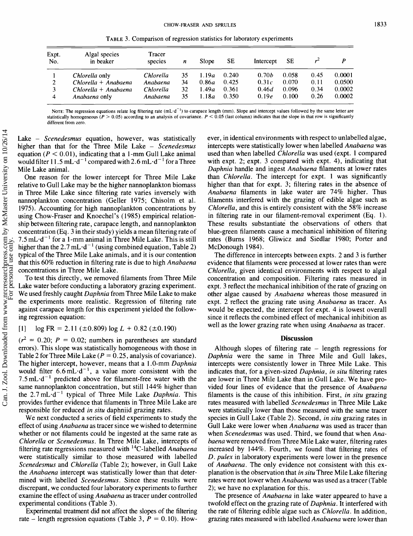**TABLE** *3.* **Comparison of regression statistics for laboratory experiments** 

|              | <b>CHOW-FRASER AND SPRULES</b> |                                                                         |    |       |       |                   |       |       |        |  |  |
|--------------|--------------------------------|-------------------------------------------------------------------------|----|-------|-------|-------------------|-------|-------|--------|--|--|
|              |                                | TABLE 3. Comparison of regression statistics for laboratory experiments |    |       |       |                   |       |       |        |  |  |
| Expt.<br>No. | Algal species<br>in beaker     | <b>Tracer</b><br>species                                                | n  | Slope | SE    | Intercept         | SЕ    | $r^2$ | P      |  |  |
|              | <i>Chlorella</i> only          | Chlorella                                                               | 35 | 1.19a | 0.240 | 0.70 <sub>b</sub> | 0.058 | 0.45  | 0.0001 |  |  |
| 2            | $Chlorella + Anabaena$         | Anabaena                                                                | 34 | 0.86a | 0.425 | 0.31c             | 0.070 | 0.11  | 0.0500 |  |  |
| 3            | Chlorella + Anabaena           | Chlorella                                                               | 32 | 1.49a | 0.361 | 0.46d             | 0.096 | 0.34  | 0.0002 |  |  |
| 4            | Anabaena only                  | Anabaena                                                                | 35 | 1.18a | 0.350 | 0.19e             | 0.100 | 0.26  | 0.0002 |  |  |

Note: The regression equations relate log filtering rate (mL·d<sup>-1</sup>) to carapace length (mm). Slope and intercept values followed by the same letter are statistically homogeneous  $(P > 0.05)$  according to an analysis of covariance.  $P < 0.05$  (last column) indicates that the slope in that row is significantly **different from zero.** 

Lake - *Scenedesmus* equation, however, was statistically higher than that for the Three Mile Lake - *Scenedesmus*  equation ( $P < 0.01$ ), indicating that a 1-mm Gull Lake animal would filter 11.5 mL $\cdot$ d<sup>-1</sup> compared with 2.6 mL $\cdot$ d<sup>-1</sup> for a Three Mile Lake animal.

One reason for the lower intercept for Three Mile Lake relative to Gull Lake may be the higher nannoplankton biomass in Three Mile Lake since filtering rate varies inversely with nannoplankton concentration (Geller 1975; Chisolm et al. 1975). Accounting for high nannoplankton concentrations by using Chow-Fraser and Knoechel's (1985) empirical relationship between filtering rate, carapace length, and nannoplankton concentration **(Eq.** 3 in their study) yields a mean filtering rate of  $7.5$  mL·d<sup>-1</sup> for a 1-mm animal in Three Mile Lake. This is still higher than the 2.7 mL·d<sup>-1</sup> (using combined equation, Table 2) typical of the Three Mile Lake animals, and it is our contention that this 60% reduction in filtering rate is due to high *Anabaena*  concentrations in Three Mile Lake.

To test this directly, we removed filaments from Three Mile Lake water before conducting a laboratory grazing experiment. We used freshly caught *Daphnia* from Three Mile Lake to make the experiments more realistic. Regression of filtering rate against carapace length for this experiment yielded the following regression equation:

#### $[1]$  log FR = 2.11 ( $\pm$ 0.809) log L + 0.82 ( $\pm$ 0.190)

 $(r^2 = 0.20; P = 0.02;$  numbers in parentheses are standard errors). This slope was statistically homogeneous with those in Table 2 for Three Mile Lake ( $P = 0.25$ , analysis of covariance). The higher intercept, however, means that a 1 .O-mm *Daphnia*  would filter  $6.6 \text{ mL} \cdot \text{d}^{-1}$ , a value more consistent with the 7.5 mL $-d^{-1}$  predicted above for filament-free water with the same nannoplankton concentration, but still 144% higher than the 2.7 mL-d-' typical of Three Mile Lake *Daphnia.* This provides further evidence that filaments in Three Mile Lake are responsible for reduced *in situ* daphniid grazing rates.

We next conducted a series of field experiments to study the effect of using *Anabaena* as tracer since we wished to determine whether or not filaments could be ingested at the same rate as *Chlorella* or *Scenedesmus.* In Three Mile Lake, intercepts of filtering rate regressions measured with 14c-labelled *Anabaena*  were statistically similar to those measured with labelled *Scenedesmus* and *Chlorella* (Table 2); however, in Gull Lake the *Anabaena* intercept was statistically lower than that determined with labelled *Scenedesmus.* Since these results were discrepant, we conducted four laboratory experiments to further examine the effect of using *Anabaena* as tracer under controlled experimental conditions (Table 3).

Experimental treatment did not affect the slopes of the filtering rate – length regression equations (Table 3,  $P = 0.10$ ). However, in identical environments with respect to unlabelled algae, intercepts were statistically lower when labelled *Anabaena* was used than when labelled *Chlorella* was used (expt. 1 compared with expt. 2; expt. 3 compared with expt. 4), indicating that *Daphnia* handle and ingest *Anabaena* filaments at lower rates than *Chlorella.* The intercept for expt. 1 was significantly higher than that for expt. 3; filtering rates in the absence of *Anabaena* filaments in lake water are 74% higher. Thus filaments interfered with the grazing of edible algae such as *Chlorella,* and this is entirely consistent with the 58% increase in filtering rate in our filament-removal experiment (Eq. 1). These results substantiate the observations of others that blue-green filaments cause a mechanical inhibition of filtering rates (Burns 1968; Gliwicz and Siedlar 1980; Porter and McDonough 1984).

The difference in intercepts between expts. 2 and 3 is further evidence that filaments were processed at lower rates than were *Chlorella,* given identical environments with respect to algal concentration and composition. Filtering rates measured in expt. 3 reflect the mechanical inhibition of the rate of grazing on other algae caused by *Anabaena* whereas those measured in expt. 2 reflect the grazing rate using *Anabaena* as tracer. As would be expected, the intercept for expt. 4 is lowest overall since it reflects the combined effect of mechanical inhibition as well as the lower grazing rate when using *Anabaena* as tracer.

# **Discussion**

Although slopes of filtering rate  $-$  length regressions for *Daphnia* were the same in Three Mile and Gull lakes, intercepts were consistently lower in Three Mile Lake. This indicates that, for a given-sized *Daphnia, in situ* filtering rates are lower in Three Mile Lake than in Gull Lake. We have provided four lines of evidence that the presence of *Anabaena*  filaments is the cause of this inhibition. First, *in situ* grazing rates measured with labelled *Scenedesmus* in Three Mile Lake were statistically lower than those measured with the same tracer species in Gull Lake (Table 2). Second, *in situ* grazing rates in Gull Lake were lower when *Anabaena* was used as tracer than when *Scenedesmus* was used. Third, we found that when *Anabaena* were removed from Three Mile Lake water, filtering rates increased by 144%. Fourth, we found that filtering rates of *D. pulex* in laboratory experiments were lower in the presence of *Anabaena.* The only evidence not consistent with this explanation is the observation that *in situ* Three Mile Lake filtering rates were not lower when *Anabaena* was used as a tracer (Table 2); we have no explanation for this.

The presence of *Anabaena* in lake water appeared to have a twofold effect on the grazing rate of *Daphnia.* It interfered with the rate of filtering edible algae such as *Chlorella.* In addition, grazing rates measured with labelled *Anabaena* were lower than